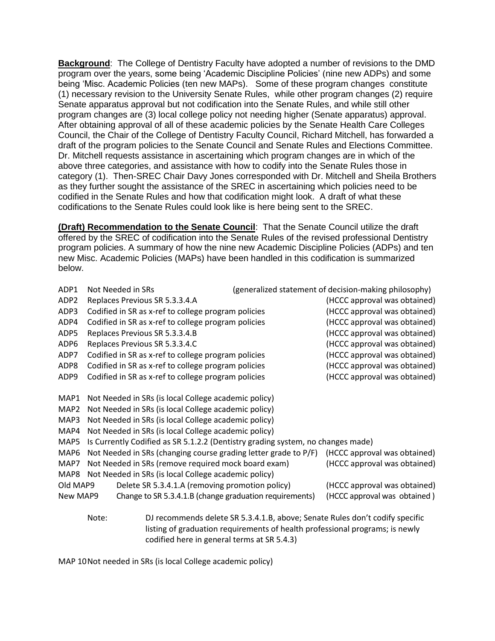**Background**: The College of Dentistry Faculty have adopted a number of revisions to the DMD program over the years, some being 'Academic Discipline Policies' (nine new ADPs) and some being 'Misc. Academic Policies (ten new MAPs). Some of these program changes constitute (1) necessary revision to the University Senate Rules, while other program changes (2) require Senate apparatus approval but not codification into the Senate Rules, and while still other program changes are (3) local college policy not needing higher (Senate apparatus) approval. After obtaining approval of all of these academic policies by the Senate Health Care Colleges Council, the Chair of the College of Dentistry Faculty Council, Richard Mitchell, has forwarded a draft of the program policies to the Senate Council and Senate Rules and Elections Committee. Dr. Mitchell requests assistance in ascertaining which program changes are in which of the above three categories, and assistance with how to codify into the Senate Rules those in category (1). Then-SREC Chair Davy Jones corresponded with Dr. Mitchell and Sheila Brothers as they further sought the assistance of the SREC in ascertaining which policies need to be codified in the Senate Rules and how that codification might look. A draft of what these codifications to the Senate Rules could look like is here being sent to the SREC.

**(Draft) Recommendation to the Senate Council**: That the Senate Council utilize the draft offered by the SREC of codification into the Senate Rules of the revised professional Dentistry program policies. A summary of how the nine new Academic Discipline Policies (ADPs) and ten new Misc. Academic Policies (MAPs) have been handled in this codification is summarized below.

| ADP1             |                                                      | Not Needed in SRs                                                               |  | (generalized statement of decision-making philosophy)                        |
|------------------|------------------------------------------------------|---------------------------------------------------------------------------------|--|------------------------------------------------------------------------------|
| ADP <sub>2</sub> |                                                      | Replaces Previous SR 5.3.3.4.A                                                  |  | (HCCC approval was obtained)                                                 |
| ADP3             |                                                      | Codified in SR as x-ref to college program policies                             |  | (HCCC approval was obtained)                                                 |
| ADP4             |                                                      | Codified in SR as x-ref to college program policies                             |  | (HCCC approval was obtained)                                                 |
| ADP5             |                                                      | Replaces Previous SR 5.3.3.4.B                                                  |  | (HCCC approval was obtained)                                                 |
| ADP6             |                                                      | Replaces Previous SR 5.3.3.4.C                                                  |  | (HCCC approval was obtained)                                                 |
| ADP7             |                                                      | Codified in SR as x-ref to college program policies                             |  | (HCCC approval was obtained)                                                 |
| ADP8             |                                                      | Codified in SR as x-ref to college program policies                             |  | (HCCC approval was obtained)                                                 |
| ADP9             |                                                      | Codified in SR as x-ref to college program policies                             |  | (HCCC approval was obtained)                                                 |
|                  |                                                      |                                                                                 |  |                                                                              |
| MAP1             |                                                      | Not Needed in SRs (is local College academic policy)                            |  |                                                                              |
| MAP <sub>2</sub> |                                                      | Not Needed in SRs (is local College academic policy)                            |  |                                                                              |
| MAP3             |                                                      | Not Needed in SRs (is local College academic policy)                            |  |                                                                              |
| MAP4             | Not Needed in SRs (is local College academic policy) |                                                                                 |  |                                                                              |
| MAP5             |                                                      | Is Currently Codified as SR 5.1.2.2 (Dentistry grading system, no changes made) |  |                                                                              |
| MAP6             |                                                      | Not Needed in SRs (changing course grading letter grade to P/F)                 |  | (HCCC approval was obtained)                                                 |
| MAP7             |                                                      | Not Needed in SRs (remove required mock board exam)                             |  | (HCCC approval was obtained)                                                 |
| MAP8             |                                                      | Not Needed in SRs (is local College academic policy)                            |  |                                                                              |
| Old MAP9         |                                                      | Delete SR 5.3.4.1.A (removing promotion policy)                                 |  | (HCCC approval was obtained)                                                 |
| New MAP9         |                                                      | Change to SR 5.3.4.1.B (change graduation requirements)                         |  | (HCCC approval was obtained)                                                 |
| Note:            |                                                      |                                                                                 |  | DJ recommends delete SR 5.3.4.1.B, above; Senate Rules don't codify specific |
|                  |                                                      |                                                                                 |  | listing of graduation requirements of health professional programs; is newly |
|                  |                                                      | codified here in general terms at SR 5.4.3)                                     |  |                                                                              |

MAP 10Not needed in SRs (is local College academic policy)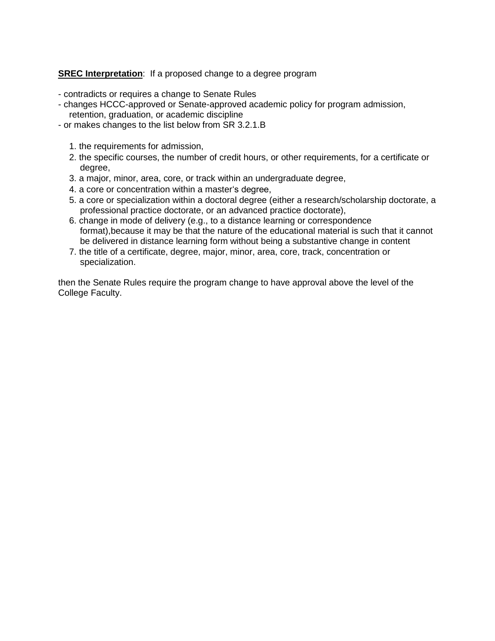## **SREC Interpretation:** If a proposed change to a degree program

- contradicts or requires a change to Senate Rules
- changes HCCC-approved or Senate-approved academic policy for program admission, retention, graduation, or academic discipline
- or makes changes to the list below from SR 3.2.1.B
	- 1. the requirements for admission,
	- 2. the specific courses, the number of credit hours, or other requirements, for a certificate or degree,
	- 3. a major, minor, area, core, or track within an undergraduate degree,
	- 4. a core or concentration within a master's degree,
	- 5. a core or specialization within a doctoral degree (either a research/scholarship doctorate, a professional practice doctorate, or an advanced practice doctorate),
	- 6. change in mode of delivery (e.g., to a distance learning or correspondence format),because it may be that the nature of the educational material is such that it cannot be delivered in distance learning form without being a substantive change in content
	- 7. the title of a certificate, degree, major, minor, area, core, track, concentration or specialization.

then the Senate Rules require the program change to have approval above the level of the College Faculty.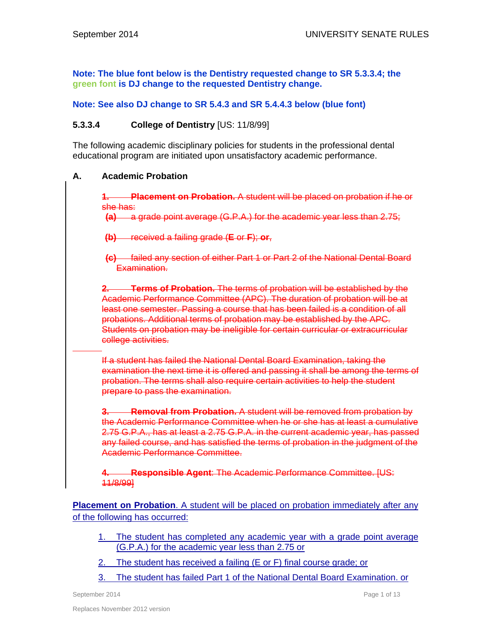**Note: The blue font below is the Dentistry requested change to SR 5.3.3.4; the green font is DJ change to the requested Dentistry change.** 

# **Note: See also DJ change to SR 5.4.3 and SR 5.4.4.3 below (blue font)**

# **5.3.3.4 College of Dentistry** [US: 11/8/99]

The following academic disciplinary policies for students in the professional dental educational program are initiated upon unsatisfactory academic performance.

## **A. Academic Probation**

**Placement on Probation.** A student will be placed on probation if he or she has:

**(a)** a grade point average (G.P.A.) for the academic year less than 2.75;

**(b)** received a failing grade (**E** or **F**); **or**,

**(c)** failed any section of either Part 1 or Part 2 of the National Dental Board Examination.

**2. Terms of Probation.** The terms of probation will be established by the Academic Performance Committee (APC). The duration of probation will be at least one semester. Passing a course that has been failed is a condition of all probations. Additional terms of probation may be established by the APC. Students on probation may be ineligible for certain curricular or extracurricular college activities.

If a student has failed the National Dental Board Examination, taking the examination the next time it is offered and passing it shall be among the terms of probation. The terms shall also require certain activities to help the student prepare to pass the examination.

**3. Removal from Probation.** A student will be removed from probation by the Academic Performance Committee when he or she has at least a cumulative 2.75 G.P.A., has at least a 2.75 G.P.A. in the current academic year, has passed any failed course, and has satisfied the terms of probation in the judgment of the Academic Performance Committee.

**4. Responsible Agent**: The Academic Performance Committee. [US: 11/8/99]

**Placement on Probation**. A student will be placed on probation immediately after any of the following has occurred:

- 1. The student has completed any academic year with a grade point average (G.P.A.) for the academic year less than 2.75 or
- 2. The student has received a failing (E or F) final course grade; or
- 3. The student has failed Part 1 of the National Dental Board Examination. or

September 2014 **Page 1 of 13** Page 1 of 13

 $\overline{a}$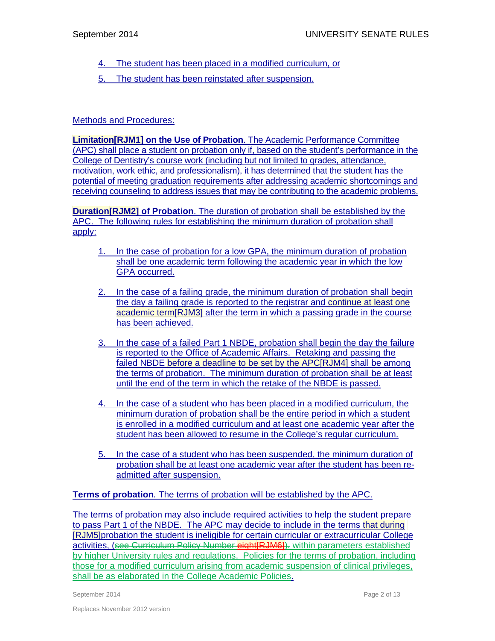- 4. The student has been placed in a modified curriculum, or
- 5. The student has been reinstated after suspension.

# Methods and Procedures:

**Limitation[RJM1] on the Use of Probation**. The Academic Performance Committee (APC) shall place a student on probation only if, based on the student's performance in the College of Dentistry's course work (including but not limited to grades, attendance, motivation, work ethic, and professionalism), it has determined that the student has the potential of meeting graduation requirements after addressing academic shortcomings and receiving counseling to address issues that may be contributing to the academic problems.

**Duration[RJM2] of Probation**. The duration of probation shall be established by the APC. The following rules for establishing the minimum duration of probation shall apply:

- 1. In the case of probation for a low GPA, the minimum duration of probation shall be one academic term following the academic year in which the low GPA occurred.
- 2. In the case of a failing grade, the minimum duration of probation shall begin the day a failing grade is reported to the registrar and continue at least one academic term[RJM3] after the term in which a passing grade in the course has been achieved.
- 3. In the case of a failed Part 1 NBDE, probation shall begin the day the failure is reported to the Office of Academic Affairs. Retaking and passing the failed NBDE before a deadline to be set by the APC<sup>[</sup>RJM4] shall be among the terms of probation. The minimum duration of probation shall be at least until the end of the term in which the retake of the NBDE is passed.
- 4. In the case of a student who has been placed in a modified curriculum, the minimum duration of probation shall be the entire period in which a student is enrolled in a modified curriculum and at least one academic year after the student has been allowed to resume in the College's regular curriculum.
- 5. In the case of a student who has been suspended, the minimum duration of probation shall be at least one academic year after the student has been readmitted after suspension.

**Terms of probation***.* The terms of probation will be established by the APC.

The terms of probation may also include required activities to help the student prepare to pass Part 1 of the NBDE. The APC may decide to include in the terms that during [RJM5]probation the student is ineligible for certain curricular or extracurricular College activities. (see Curriculum Policy Number eight RJM6]). within parameters established by higher University rules and regulations. Policies for the terms of probation, including those for a modified curriculum arising from academic suspension of clinical privileges, shall be as elaborated in the College Academic Policies.

September 2014 **Page 2 of 13** Page 2 of 13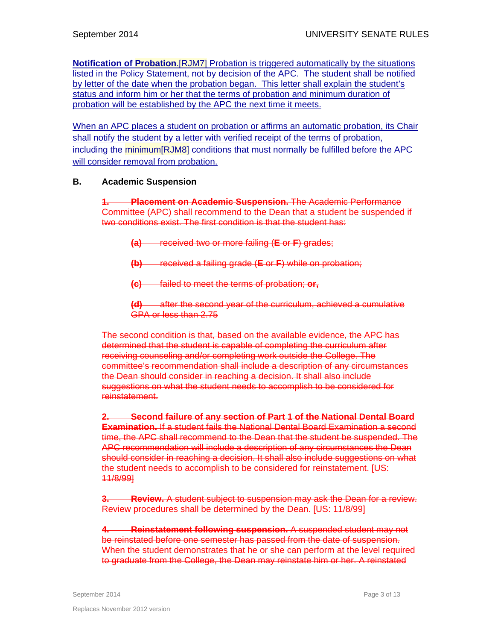**Notification of Probation.** [RJM7] Probation is triggered automatically by the situations listed in the Policy Statement, not by decision of the APC. The student shall be notified by letter of the date when the probation began. This letter shall explain the student's status and inform him or her that the terms of probation and minimum duration of probation will be established by the APC the next time it meets.

When an APC places a student on probation or affirms an automatic probation, its Chair shall notify the student by a letter with verified receipt of the terms of probation, including the minimum[RJM8] conditions that must normally be fulfilled before the APC will consider removal from probation.

## **B. Academic Suspension**

**1. Placement on Academic Suspension.** The Academic Performance Committee (APC) shall recommend to the Dean that a student be suspended if two conditions exist. The first condition is that the student has:

- **(a)** received two or more failing (**E** or **F**) grades;
- **(b)** received a failing grade (**E** or **F**) while on probation;
- **(c)** failed to meet the terms of probation; **or,**

**(d)** after the second year of the curriculum, achieved a cumulative GPA or less than 2.75

The second condition is that, based on the available evidence, the APC has determined that the student is capable of completing the curriculum after receiving counseling and/or completing work outside the College. The committee's recommendation shall include a description of any circumstances the Dean should consider in reaching a decision. It shall also include suggestions on what the student needs to accomplish to be considered for reinstatement.

**2. Second failure of any section of Part 1 of the National Dental Board Examination.** If a student fails the National Dental Board Examination a second time, the APC shall recommend to the Dean that the student be suspended. The APC recommendation will include a description of any circumstances the Dean should consider in reaching a decision. It shall also include suggestions on what the student needs to accomplish to be considered for reinstatement. [US: 11/8/99]

**3. Review.** A student subject to suspension may ask the Dean for a review. Review procedures shall be determined by the Dean. [US: 11/8/99]

**4. Reinstatement following suspension.** A suspended student may not be reinstated before one semester has passed from the date of suspension. When the student demonstrates that he or she can perform at the level required to graduate from the College, the Dean may reinstate him or her. A reinstated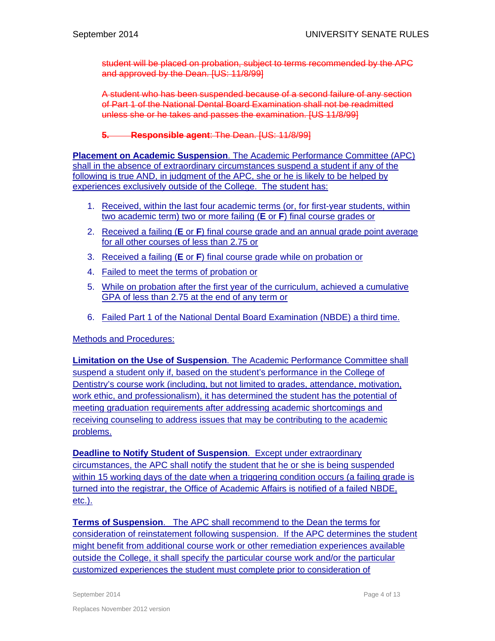student will be placed on probation, subject to terms recommended by the APC and approved by the Dean. [US: 11/8/99]

A student who has been suspended because of a second failure of any section of Part 1 of the National Dental Board Examination shall not be readmitted unless she or he takes and passes the examination. [US 11/8/99]

# **5. Responsible agent**: The Dean. [US: 11/8/99]

**Placement on Academic Suspension**. The Academic Performance Committee (APC) shall in the absence of extraordinary circumstances suspend a student if any of the following is true AND, in judgment of the APC, she or he is likely to be helped by experiences exclusively outside of the College. The student has:

- 1. Received, within the last four academic terms (or, for first-year students, within two academic term) two or more failing (**E** or **F**) final course grades or
- 2. Received a failing (**E** or **F**) final course grade and an annual grade point average for all other courses of less than 2.75 or
- 3. Received a failing (**E** or **F**) final course grade while on probation or
- 4. Failed to meet the terms of probation or
- 5. While on probation after the first year of the curriculum, achieved a cumulative GPA of less than 2.75 at the end of any term or
- 6. Failed Part 1 of the National Dental Board Examination (NBDE) a third time.

## Methods and Procedures:

**Limitation on the Use of Suspension**. The Academic Performance Committee shall suspend a student only if, based on the student's performance in the College of Dentistry's course work (including, but not limited to grades, attendance, motivation, work ethic, and professionalism), it has determined the student has the potential of meeting graduation requirements after addressing academic shortcomings and receiving counseling to address issues that may be contributing to the academic problems.

**Deadline to Notify Student of Suspension**. Except under extraordinary circumstances, the APC shall notify the student that he or she is being suspended within 15 working days of the date when a triggering condition occurs (a failing grade is turned into the registrar, the Office of Academic Affairs is notified of a failed NBDE, etc.).

**Terms of Suspension**. The APC shall recommend to the Dean the terms for consideration of reinstatement following suspension. If the APC determines the student might benefit from additional course work or other remediation experiences available outside the College, it shall specify the particular course work and/or the particular customized experiences the student must complete prior to consideration of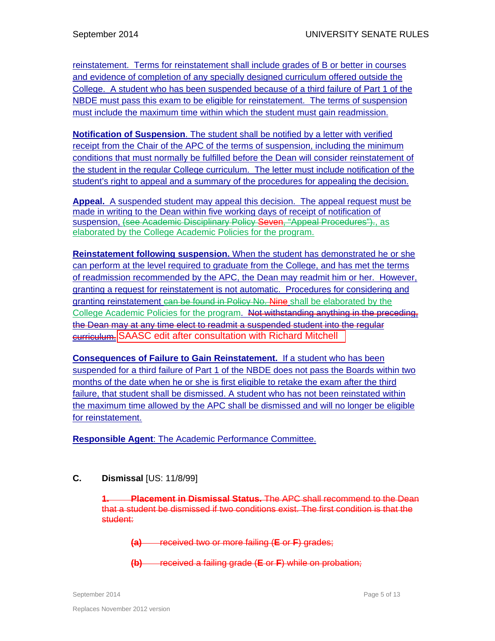reinstatement. Terms for reinstatement shall include grades of B or better in courses and evidence of completion of any specially designed curriculum offered outside the College. A student who has been suspended because of a third failure of Part 1 of the NBDE must pass this exam to be eligible for reinstatement. The terms of suspension must include the maximum time within which the student must gain readmission.

**Notification of Suspension**. The student shall be notified by a letter with verified receipt from the Chair of the APC of the terms of suspension, including the minimum conditions that must normally be fulfilled before the Dean will consider reinstatement of the student in the regular College curriculum. The letter must include notification of the student's right to appeal and a summary of the procedures for appealing the decision.

**Appeal.** A suspended student may appeal this decision. The appeal request must be made in writing to the Dean within five working days of receipt of notification of suspension, (see Academic Disciplinary Policy Seven, "Appeal Procedures")., as elaborated by the College Academic Policies for the program.

**Reinstatement following suspension.** When the student has demonstrated he or she can perform at the level required to graduate from the College, and has met the terms of readmission recommended by the APC, the Dean may readmit him or her. However, granting a request for reinstatement is not automatic. Procedures for considering and granting reinstatement can be found in Policy No. Nine shall be elaborated by the College Academic Policies for the program. Not withstanding anything in the preceding. the Dean may at any time elect to readmit a suspended student into the regular <u>eurrieulum.</u> SAASC edit after consultation with Richard Mitchell

**Consequences of Failure to Gain Reinstatement.** If a student who has been suspended for a third failure of Part 1 of the NBDE does not pass the Boards within two months of the date when he or she is first eligible to retake the exam after the third failure, that student shall be dismissed. A student who has not been reinstated within the maximum time allowed by the APC shall be dismissed and will no longer be eligible for reinstatement.

**Responsible Agent**: The Academic Performance Committee.

# **C. Dismissal** [US: 11/8/99]

**1. Placement in Dismissal Status.** The APC shall recommend to the Dean that a student be dismissed if two conditions exist. The first condition is that the student:

**(a)** received two or more failing (**E** or **F**) grades;

**(b)** received a failing grade (**E** or **F**) while on probation;

September 2014 **Page 5 of 13** Page 5 of 13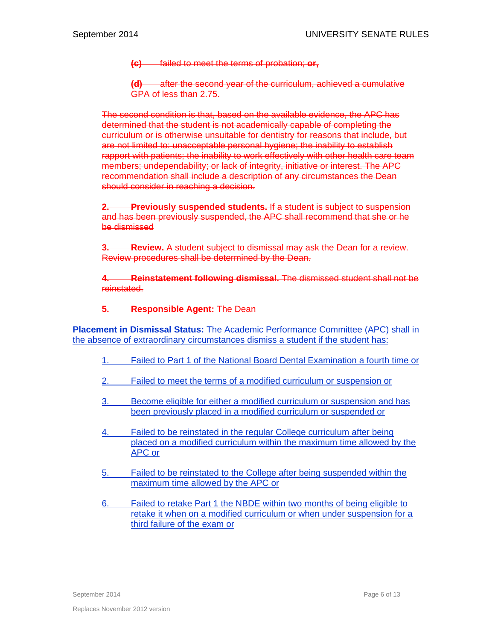**(c)** failed to meet the terms of probation; **or,**

**(d)** after the second year of the curriculum, achieved a cumulative GPA of less than 2.75.

The second condition is that, based on the available evidence, the APC has determined that the student is not academically capable of completing the curriculum or is otherwise unsuitable for dentistry for reasons that include, but are not limited to: unacceptable personal hygiene; the inability to establish rapport with patients; the inability to work effectively with other health care team members; undependability; or lack of integrity, initiative or interest. The APC recommendation shall include a description of any circumstances the Dean should consider in reaching a decision.

**2. Previously suspended students.** If a student is subject to suspension and has been previously suspended, the APC shall recommend that she or he be dismissed

**3. Review.** A student subject to dismissal may ask the Dean for a review. Review procedures shall be determined by the Dean.

**4. Reinstatement following dismissal.** The dismissed student shall not be reinstated.

**5. Responsible Agent:** The Dean

**Placement in Dismissal Status:** The Academic Performance Committee (APC) shall in the absence of extraordinary circumstances dismiss a student if the student has:

- 1. Failed to Part 1 of the National Board Dental Examination a fourth time or
- 2. Failed to meet the terms of a modified curriculum or suspension or
- 3. Become eligible for either a modified curriculum or suspension and has been previously placed in a modified curriculum or suspended or
- 4. Failed to be reinstated in the regular College curriculum after being placed on a modified curriculum within the maximum time allowed by the APC or
- 5. Failed to be reinstated to the College after being suspended within the maximum time allowed by the APC or
- 6. Failed to retake Part 1 the NBDE within two months of being eligible to retake it when on a modified curriculum or when under suspension for a third failure of the exam or

September 2014 **Page 6 of 13** Page 6 of 13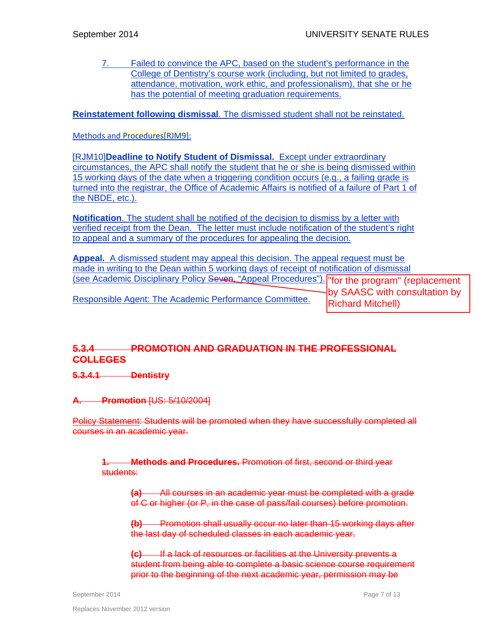7. Failed to convince the APC, based on the student's performance in the College of Dentistry's course work (including, but not limited to grades, attendance, motivation, work ethic, and professionalism), that she or he has the potential of meeting graduation requirements.

**Reinstatement following dismissal**. The dismissed student shall not be reinstated.

# Methods and Procedures [RJM9]:

[RJM10]**Deadline to Notify Student of Dismissal.** Except under extraordinary circumstances, the APC shall notify the student that he or she is being dismissed within 15 working days of the date when a triggering condition occurs (e.g., a failing grade is turned into the registrar, the Office of Academic Affairs is notified of a failure of Part 1 of the NBDE, etc.).

**Notification**. The student shall be notified of the decision to dismiss by a letter with verified receipt from the Dean. The letter must include notification of the student's right to appeal and a summary of the procedures for appealing the decision.

**Appeal.** A dismissed student may appeal this decision. The appeal request must be made in writing to the Dean within 5 working days of receipt of notification of dismissal (see Academic Disciplinary Policy Seven, "Appeal Procedures"). Responsible Agent: The Academic Performance Committee. "for the program" (replacement by SAASC with consultation by Richard Mitchell)

# **5.3.4 PROMOTION AND GRADUATION IN THE PROFESSIONAL COLLEGES**

**5.3.4.1 Dentistry** 

**A. Promotion** [US: 5/10/2004]

Policy Statement: Students will be promoted when they have successfully completed all courses in an academic year.

**Methods and Procedures.** Promotion of first, second or third year students:

**(a)** All courses in an academic year must be completed with a grade of C or higher (or P, in the case of pass/fail courses) before promotion.

**(b)** Promotion shall usually occur no later than 15 working days after the last day of scheduled classes in each academic year.

**(c)** If a lack of resources or facilities at the University prevents a student from being able to complete a basic science course requirement prior to the beginning of the next academic year, permission may be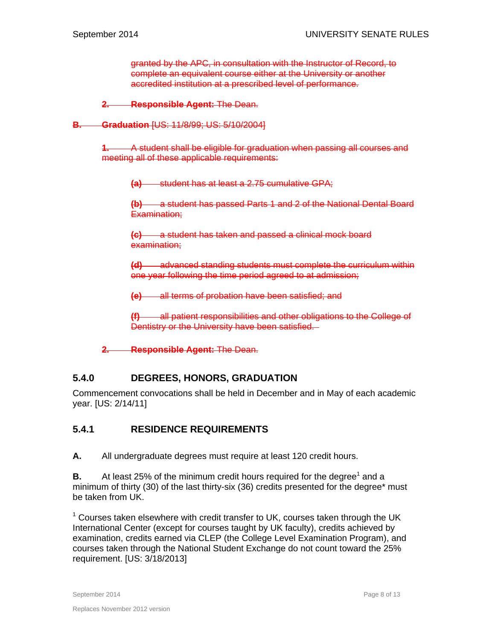granted by the APC, in consultation with the Instructor of Record, to complete an equivalent course either at the University or another accredited institution at a prescribed level of performance.

**2. Responsible Agent:** The Dean.

**B. Graduation** [US: 11/8/99; US: 5/10/2004]

**1.** A student shall be eligible for graduation when passing all courses and meeting all of these applicable requirements:

**(a)** student has at least a 2.75 cumulative GPA;

**(b)** a student has passed Parts 1 and 2 of the National Dental Board Examination;

**(c)** a student has taken and passed a clinical mock board examination;

**(d)** advanced standing students must complete the curriculum within one year following the time period agreed to at admission;

**(e)** all terms of probation have been satisfied; and

**all patient responsibilities and other obligations to the College of** Dentistry or the University have been satisfied.

**2. Responsible Agent:** The Dean.

# **5.4.0 DEGREES, HONORS, GRADUATION**

Commencement convocations shall be held in December and in May of each academic year. [US: 2/14/11]

# **5.4.1 RESIDENCE REQUIREMENTS**

**A.** All undergraduate degrees must require at least 120 credit hours.

**B.** At least 25% of the minimum credit hours required for the degree<sup>1</sup> and a minimum of thirty (30) of the last thirty-six (36) credits presented for the degree\* must be taken from UK.

 $1$  Courses taken elsewhere with credit transfer to UK, courses taken through the UK International Center (except for courses taught by UK faculty), credits achieved by examination, credits earned via CLEP (the College Level Examination Program), and courses taken through the National Student Exchange do not count toward the 25% requirement. [US: 3/18/2013]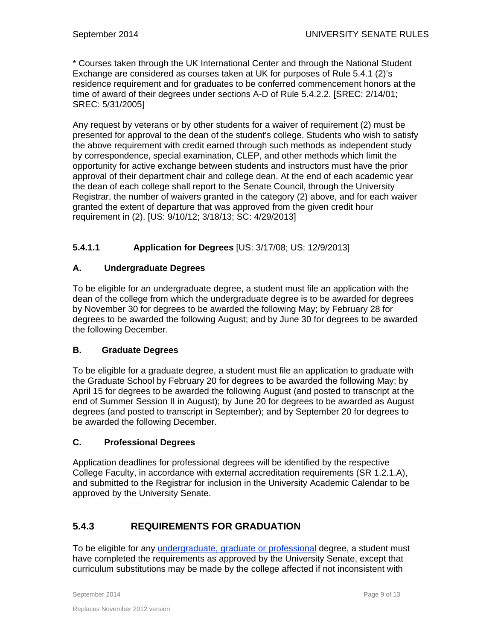\* Courses taken through the UK International Center and through the National Student Exchange are considered as courses taken at UK for purposes of Rule 5.4.1 (2)'s residence requirement and for graduates to be conferred commencement honors at the time of award of their degrees under sections A-D of Rule 5.4.2.2. [SREC: 2/14/01; SREC: 5/31/2005]

Any request by veterans or by other students for a waiver of requirement (2) must be presented for approval to the dean of the student's college. Students who wish to satisfy the above requirement with credit earned through such methods as independent study by correspondence, special examination, CLEP, and other methods which limit the opportunity for active exchange between students and instructors must have the prior approval of their department chair and college dean. At the end of each academic year the dean of each college shall report to the Senate Council, through the University Registrar, the number of waivers granted in the category (2) above, and for each waiver granted the extent of departure that was approved from the given credit hour requirement in (2). [US: 9/10/12; 3/18/13; SC: 4/29/2013]

# **5.4.1.1 Application for Degrees** [US: 3/17/08; US: 12/9/2013]

# **A. Undergraduate Degrees**

To be eligible for an undergraduate degree, a student must file an application with the dean of the college from which the undergraduate degree is to be awarded for degrees by November 30 for degrees to be awarded the following May; by February 28 for degrees to be awarded the following August; and by June 30 for degrees to be awarded the following December.

## **B. Graduate Degrees**

To be eligible for a graduate degree, a student must file an application to graduate with the Graduate School by February 20 for degrees to be awarded the following May; by April 15 for degrees to be awarded the following August (and posted to transcript at the end of Summer Session II in August); by June 20 for degrees to be awarded as August degrees (and posted to transcript in September); and by September 20 for degrees to be awarded the following December.

# **C. Professional Degrees**

Application deadlines for professional degrees will be identified by the respective College Faculty, in accordance with external accreditation requirements (SR 1.2.1.A), and submitted to the Registrar for inclusion in the University Academic Calendar to be approved by the University Senate.

# **5.4.3 REQUIREMENTS FOR GRADUATION**

To be eligible for any undergraduate, graduate or professional degree, a student must have completed the requirements as approved by the University Senate, except that curriculum substitutions may be made by the college affected if not inconsistent with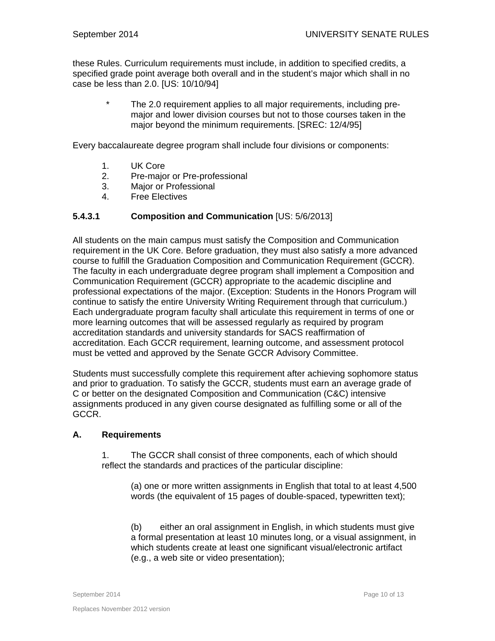these Rules. Curriculum requirements must include, in addition to specified credits, a specified grade point average both overall and in the student's major which shall in no case be less than 2.0. [US: 10/10/94]

> The 2.0 requirement applies to all major requirements, including premajor and lower division courses but not to those courses taken in the major beyond the minimum requirements. [SREC: 12/4/95]

Every baccalaureate degree program shall include four divisions or components:

- 1. UK Core
- 2. Pre-major or Pre-professional
- 3. Major or Professional
- 4. Free Electives

### **5.4.3.1 Composition and Communication** [US: 5/6/2013]

All students on the main campus must satisfy the Composition and Communication requirement in the UK Core. Before graduation, they must also satisfy a more advanced course to fulfill the Graduation Composition and Communication Requirement (GCCR). The faculty in each undergraduate degree program shall implement a Composition and Communication Requirement (GCCR) appropriate to the academic discipline and professional expectations of the major. (Exception: Students in the Honors Program will continue to satisfy the entire University Writing Requirement through that curriculum.) Each undergraduate program faculty shall articulate this requirement in terms of one or more learning outcomes that will be assessed regularly as required by program accreditation standards and university standards for SACS reaffirmation of accreditation. Each GCCR requirement, learning outcome, and assessment protocol must be vetted and approved by the Senate GCCR Advisory Committee.

Students must successfully complete this requirement after achieving sophomore status and prior to graduation. To satisfy the GCCR, students must earn an average grade of C or better on the designated Composition and Communication (C&C) intensive assignments produced in any given course designated as fulfilling some or all of the GCCR.

### **A. Requirements**

1. The GCCR shall consist of three components, each of which should reflect the standards and practices of the particular discipline:

(a) one or more written assignments in English that total to at least 4,500 words (the equivalent of 15 pages of double-spaced, typewritten text);

(b) either an oral assignment in English, in which students must give a formal presentation at least 10 minutes long, or a visual assignment, in which students create at least one significant visual/electronic artifact (e.g., a web site or video presentation);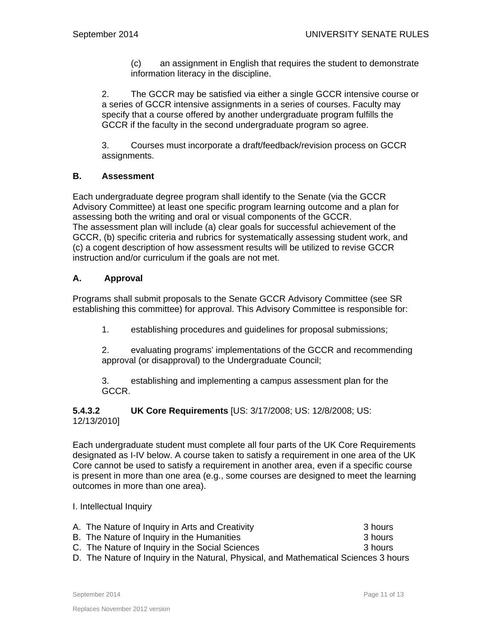(c) an assignment in English that requires the student to demonstrate information literacy in the discipline.

2. The GCCR may be satisfied via either a single GCCR intensive course or a series of GCCR intensive assignments in a series of courses. Faculty may specify that a course offered by another undergraduate program fulfills the GCCR if the faculty in the second undergraduate program so agree.

3. Courses must incorporate a draft/feedback/revision process on GCCR assignments.

# **B. Assessment**

Each undergraduate degree program shall identify to the Senate (via the GCCR Advisory Committee) at least one specific program learning outcome and a plan for assessing both the writing and oral or visual components of the GCCR. The assessment plan will include (a) clear goals for successful achievement of the GCCR, (b) specific criteria and rubrics for systematically assessing student work, and (c) a cogent description of how assessment results will be utilized to revise GCCR instruction and/or curriculum if the goals are not met.

# **A. Approval**

Programs shall submit proposals to the Senate GCCR Advisory Committee (see SR establishing this committee) for approval. This Advisory Committee is responsible for:

1. establishing procedures and guidelines for proposal submissions;

2. evaluating programs' implementations of the GCCR and recommending approval (or disapproval) to the Undergraduate Council;

3. establishing and implementing a campus assessment plan for the GCCR.

### **5.4.3.2 UK Core Requirements** [US: 3/17/2008; US: 12/8/2008; US: 12/13/2010]

Each undergraduate student must complete all four parts of the UK Core Requirements designated as I-IV below. A course taken to satisfy a requirement in one area of the UK Core cannot be used to satisfy a requirement in another area, even if a specific course is present in more than one area (e.g., some courses are designed to meet the learning outcomes in more than one area).

## I. Intellectual Inquiry

| A. The Nature of Inquiry in Arts and Creativity                                      | 3 hours |
|--------------------------------------------------------------------------------------|---------|
| B. The Nature of Inquiry in the Humanities                                           | 3 hours |
| C. The Nature of Inquiry in the Social Sciences                                      | 3 hours |
| D. The Nature of Inquiry in the Natural, Physical, and Mathematical Sciences 3 hours |         |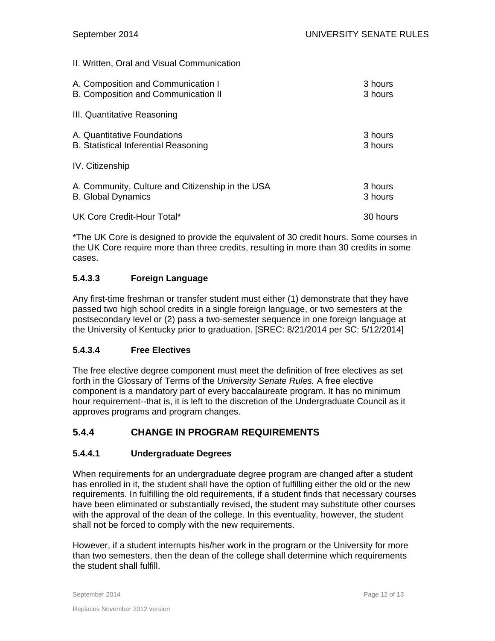II. Written, Oral and Visual Communication

| A. Composition and Communication I               | 3 hours  |
|--------------------------------------------------|----------|
| B. Composition and Communication II              | 3 hours  |
| III. Quantitative Reasoning                      |          |
| A. Quantitative Foundations                      | 3 hours  |
| <b>B.</b> Statistical Inferential Reasoning      | 3 hours  |
| IV. Citizenship                                  |          |
| A. Community, Culture and Citizenship in the USA | 3 hours  |
| <b>B.</b> Global Dynamics                        | 3 hours  |
| UK Core Credit-Hour Total*                       | 30 hours |

\*The UK Core is designed to provide the equivalent of 30 credit hours. Some courses in the UK Core require more than three credits, resulting in more than 30 credits in some cases.

# **5.4.3.3 Foreign Language**

Any first-time freshman or transfer student must either (1) demonstrate that they have passed two high school credits in a single foreign language, or two semesters at the postsecondary level or (2) pass a two-semester sequence in one foreign language at the University of Kentucky prior to graduation. [SREC: 8/21/2014 per SC: 5/12/2014]

## **5.4.3.4 Free Electives**

The free elective degree component must meet the definition of free electives as set forth in the Glossary of Terms of the *University Senate Rules.* A free elective component is a mandatory part of every baccalaureate program. It has no minimum hour requirement--that is, it is left to the discretion of the Undergraduate Council as it approves programs and program changes.

# **5.4.4 CHANGE IN PROGRAM REQUIREMENTS**

## **5.4.4.1 Undergraduate Degrees**

When requirements for an undergraduate degree program are changed after a student has enrolled in it, the student shall have the option of fulfilling either the old or the new requirements. In fulfilling the old requirements, if a student finds that necessary courses have been eliminated or substantially revised, the student may substitute other courses with the approval of the dean of the college. In this eventuality, however, the student shall not be forced to comply with the new requirements.

However, if a student interrupts his/her work in the program or the University for more than two semesters, then the dean of the college shall determine which requirements the student shall fulfill.

September 2014 **Page 12 of 13**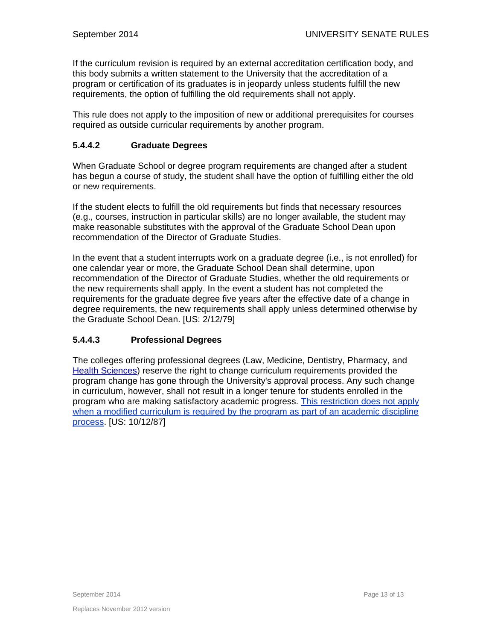If the curriculum revision is required by an external accreditation certification body, and this body submits a written statement to the University that the accreditation of a program or certification of its graduates is in jeopardy unless students fulfill the new requirements, the option of fulfilling the old requirements shall not apply.

This rule does not apply to the imposition of new or additional prerequisites for courses required as outside curricular requirements by another program.

# **5.4.4.2 Graduate Degrees**

When Graduate School or degree program requirements are changed after a student has begun a course of study, the student shall have the option of fulfilling either the old or new requirements.

If the student elects to fulfill the old requirements but finds that necessary resources (e.g., courses, instruction in particular skills) are no longer available, the student may make reasonable substitutes with the approval of the Graduate School Dean upon recommendation of the Director of Graduate Studies.

In the event that a student interrupts work on a graduate degree (i.e., is not enrolled) for one calendar year or more, the Graduate School Dean shall determine, upon recommendation of the Director of Graduate Studies, whether the old requirements or the new requirements shall apply. In the event a student has not completed the requirements for the graduate degree five years after the effective date of a change in degree requirements, the new requirements shall apply unless determined otherwise by the Graduate School Dean. [US: 2/12/79]

# **5.4.4.3 Professional Degrees**

The colleges offering professional degrees (Law, Medicine, Dentistry, Pharmacy, and Health Sciences) reserve the right to change curriculum requirements provided the program change has gone through the University's approval process. Any such change in curriculum, however, shall not result in a longer tenure for students enrolled in the program who are making satisfactory academic progress. This restriction does not apply when a modified curriculum is required by the program as part of an academic discipline process. [US: 10/12/87]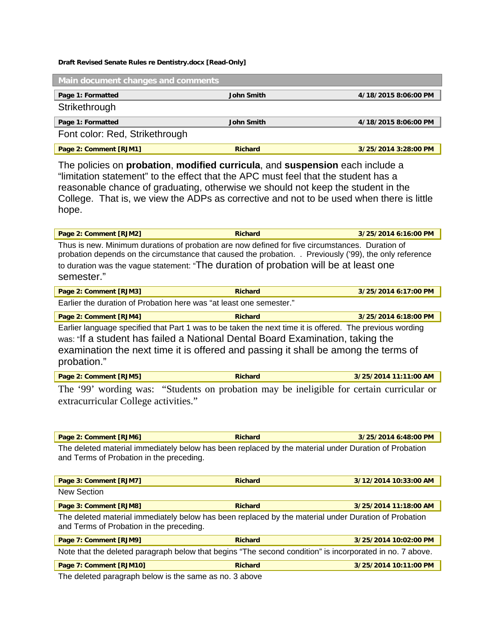#### **Draft Revised Senate Rules re Dentistry.docx [Read-Only]**

| Main document changes and comments |                   |                      |  |  |
|------------------------------------|-------------------|----------------------|--|--|
| Page 1: Formatted                  | <b>John Smith</b> | 4/18/2015 8:06:00 PM |  |  |
| Strikethrough                      |                   |                      |  |  |
| Page 1: Formatted                  | John Smith        | 4/18/2015 8:06:00 PM |  |  |
| Font color: Red, Strikethrough     |                   |                      |  |  |
| Page 2: Comment [RJM1]             | <b>Richard</b>    | 3/25/2014 3:28:00 PM |  |  |

The policies on **probation**, **modified curricula**, and **suspension** each include a "limitation statement" to the effect that the APC must feel that the student has a reasonable chance of graduating, otherwise we should not keep the student in the College. That is, we view the ADPs as corrective and not to be used when there is little hope.

| Page 2: Comment [RJM2]                                                                                                                                                                                                                                                                                           | <b>Richard</b> | 3/25/2014 6:16:00 PM |
|------------------------------------------------------------------------------------------------------------------------------------------------------------------------------------------------------------------------------------------------------------------------------------------------------------------|----------------|----------------------|
| Thus is new. Minimum durations of probation are now defined for five circumstances. Duration of<br>probation depends on the circumstance that caused the probation. . Previously ('99), the only reference<br>to duration was the vague statement: "The duration of probation will be at least one<br>semester." |                |                      |

| Page 2: Comment [RJM3]                                              | <b>Richard</b> | 3/25/2014 6:17:00 PM |
|---------------------------------------------------------------------|----------------|----------------------|
| Earlier the duration of Probation here was "at least one semester." |                |                      |

**Page 2: Comment [RJM4] Richard 3/25/2014 6:18:00 PM** 

Earlier language specified that Part 1 was to be taken the next time it is offered. The previous wording was: "If a student has failed a National Dental Board Examination, taking the examination the next time it is offered and passing it shall be among the terms of probation."

|  | Page 2: Comment [RJM5] | <b>Richard</b> | 3/25/2014 11:11:00 AM |
|--|------------------------|----------------|-----------------------|
|--|------------------------|----------------|-----------------------|

The '99' wording was: "Students on probation may be ineligible for certain curricular or extracurricular College activities."

| <b>Page 2: Comment [RJM6]</b>                                                                        | <b>Richard</b> | 3/25/2014 6:48:00 PM |
|------------------------------------------------------------------------------------------------------|----------------|----------------------|
| The deleted material immediately below has been replaced by the material under Duration of Probation |                |                      |
| and Terms of Probation in the preceding.                                                             |                |                      |

| Page 3: Comment [RJM7]                                                                                                                           | <b>Richard</b> | 3/12/2014 10:33:00 AM |  |  |  |
|--------------------------------------------------------------------------------------------------------------------------------------------------|----------------|-----------------------|--|--|--|
| New Section                                                                                                                                      |                |                       |  |  |  |
| Page 3: Comment [RJM8]                                                                                                                           | <b>Richard</b> | 3/25/2014 11:18:00 AM |  |  |  |
| The deleted material immediately below has been replaced by the material under Duration of Probation<br>and Terms of Probation in the preceding. |                |                       |  |  |  |
| Page 7: Comment [RJM9]                                                                                                                           | <b>Richard</b> | 3/25/2014 10:02:00 PM |  |  |  |
| Note that the deleted paragraph below that begins "The second condition" is incorporated in no. 7 above.                                         |                |                       |  |  |  |
| Page 7: Comment [RJM10]                                                                                                                          | <b>Richard</b> | 3/25/2014 10:11:00 PM |  |  |  |

The deleted paragraph below is the same as no. 3 above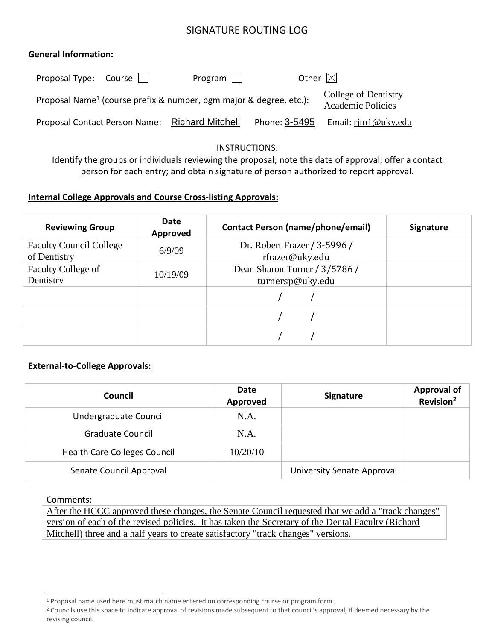# SIGNATURE ROUTING LOG

## **General Information:**

| Proposal Type: $Course \mid \mid$ | $Program \mid \mid$                                                            | Other $\boxtimes$ |                                                  |
|-----------------------------------|--------------------------------------------------------------------------------|-------------------|--------------------------------------------------|
|                                   | Proposal Name <sup>1</sup> (course prefix & number, pgm major & degree, etc.): |                   | College of Dentistry<br><b>Academic Policies</b> |
|                                   | Proposal Contact Person Name: Richard Mitchell                                 | Phone: 3-5495     | Email: $r$ jm $1@$ uky.edu                       |

### INSTRUCTIONS:

Identify the groups or individuals reviewing the proposal; note the date of approval; offer a contact person for each entry; and obtain signature of person authorized to report approval.

## **Internal College Approvals and Course Cross-listing Approvals:**

| <b>Reviewing Group</b>                         | Date<br>Approved | <b>Contact Person (name/phone/email)</b>          | <b>Signature</b> |  |
|------------------------------------------------|------------------|---------------------------------------------------|------------------|--|
| <b>Faculty Council College</b><br>of Dentistry | 6/9/09           | Dr. Robert Frazer / 3-5996 /<br>rfrazer@uky.edu   |                  |  |
| Faculty College of<br>Dentistry                | 10/19/09         | Dean Sharon Turner / 3/5786 /<br>turnersp@uky.edu |                  |  |
|                                                |                  |                                                   |                  |  |
|                                                |                  |                                                   |                  |  |
|                                                |                  |                                                   |                  |  |

## **External-to-College Approvals:**

| Council                             | Date<br>Approved | Signature                  | Approval of<br>Revision <sup>2</sup> |
|-------------------------------------|------------------|----------------------------|--------------------------------------|
| Undergraduate Council               | N.A.             |                            |                                      |
| <b>Graduate Council</b>             | N.A.             |                            |                                      |
| <b>Health Care Colleges Council</b> | 10/20/10         |                            |                                      |
| Senate Council Approval             |                  | University Senate Approval |                                      |

Comments:

 $\overline{a}$ 

After the HCCC approved these changes, the Senate Council requested that we add a "track changes" version of each of the revised policies. It has taken the Secretary of the Dental Faculty (Richard Mitchell) three and a half years to create satisfactory "track changes" versions.

<sup>1</sup> Proposal name used here must match name entered on corresponding course or program form.

<sup>&</sup>lt;sup>2</sup> Councils use this space to indicate approval of revisions made subsequent to that council's approval, if deemed necessary by the revising council.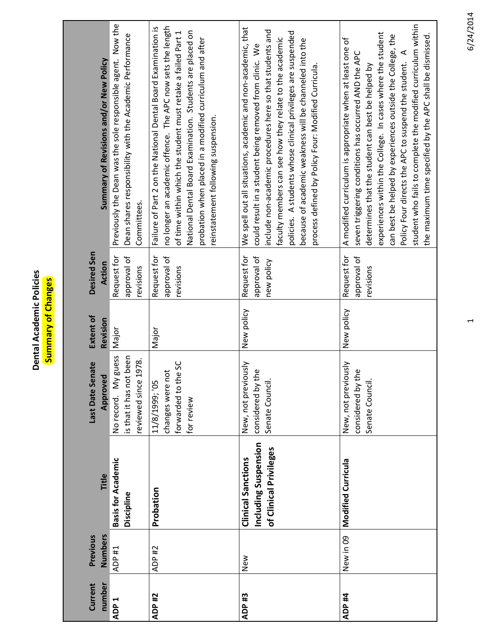**Dental Academic Policies Dental Academic Policies** Summary of Changes **Summary of Changes**

| Current<br>number | Numbers<br>Previous | Title                                                                       | Last Date Senate<br>Approved                                                    | <b>Extent of</b><br>Revision | Desired Sen<br>Action                    | Summary of Revisions and/or New Policy                                                                                                                                                                                                                                                                                                                                                                                                                                                   |
|-------------------|---------------------|-----------------------------------------------------------------------------|---------------------------------------------------------------------------------|------------------------------|------------------------------------------|------------------------------------------------------------------------------------------------------------------------------------------------------------------------------------------------------------------------------------------------------------------------------------------------------------------------------------------------------------------------------------------------------------------------------------------------------------------------------------------|
| ADP <sub>1</sub>  | ADP #1              | <b>Basis for Academic</b><br>Discipline                                     | guess<br>is that it has not been<br>reviewed since 1978.<br>No record. My       | Major                        | Request for<br>approval of<br>revisions  | Previously the Dean was the sole responsible agent. Now the<br>Dean shares responsibility with the Academic Performance<br>Committees.                                                                                                                                                                                                                                                                                                                                                   |
| ADP #2            | ADP #2              | Probation                                                                   | os<br>Pe<br>changes were not<br>forwarded to th<br>11/8/1999; '05<br>for review | Major                        | Request for<br>approval of<br>revisions  | no longer an academic offence. The APC now sets the length<br>Failure of Part 2 on the National Dental Board Examination is<br>National Dental Board Examination. Students are placed on<br>of time within which the student must retake a failed Part 1<br>probation when placed in a modified curriculum and after<br>reinstatement following suspension.                                                                                                                              |
| ADP <sub>#3</sub> | New                 | Including Suspension<br>of Clinical Privileges<br><b>Clinical Sanctions</b> | New, not previously<br>considered by the<br>Senate Council.                     | New policy                   | Request for<br>approval of<br>new policy | We spell out all situations, academic and non-academic, that<br>include non-academic procedures here so that students and<br>policies. A students whose clinical privileges are suspended<br>faculty members can see how they relate to the academic<br>because of academic weakness will be channeled into the<br>could result in a student being removed from clinic. We<br>process defined by Policy Four: Modified Curricula.                                                        |
| ADP #4            | New in 09           | <b>Modified Curricula</b>                                                   | New, not previously<br>considered by the<br>Senate Council.                     | New policy                   | Request for<br>approval of<br>revisions  | student who fails to complete the modified curriculum within<br>experiences within the College. In cases where the student<br>the maximum time specified by the APC shall be dismissed.<br>can best be helped by experiences outside the College, the<br>A modified curriculum is appropriate when at least one of<br>Policy Four directs the APC to suspend the student. A<br>seven triggering conditions has occurred AND the APC<br>determines that the student can best be helped by |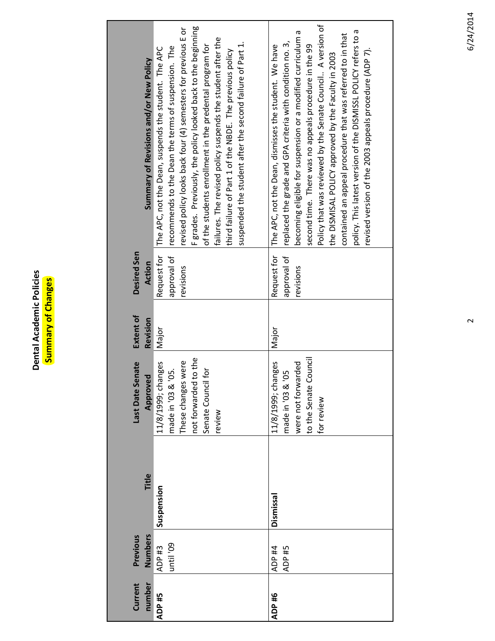Dental Academic Policies<br>Summary of Changes **Dental Academic Policies Summary of Changes**

| Current<br>number | <b>Numbers</b><br>Previous | Title      | Last Date Senate<br>Approved                                                                                              | Extent of<br>Revision | Desired Sen<br>Action                   | Summary of Revisions and/or New Policy                                                                                                                                                                                                                                                                                                                                                                                                                                                                                                                     |
|-------------------|----------------------------|------------|---------------------------------------------------------------------------------------------------------------------------|-----------------------|-----------------------------------------|------------------------------------------------------------------------------------------------------------------------------------------------------------------------------------------------------------------------------------------------------------------------------------------------------------------------------------------------------------------------------------------------------------------------------------------------------------------------------------------------------------------------------------------------------------|
| ADP #5            | until '09<br>ADP #3        | Suspension | to the<br>These changes were<br>11/8/1999; changes<br>Senate Council for<br>made in '03 & '05.<br>not forwarded<br>review | Major                 | Request for<br>approval of<br>revisions | F grades. Previously, the policy looked back to the beginning<br>revised policy looks back four (4) semesters for previous E or<br>failures. The revised policy suspends the student after the<br>suspended the student after the second failure of Part 1.<br>of the students enrollment in the predental program for<br>recommends to the Dean the terms of suspension. The<br>The APC, not the Dean, suspends the student. The APC<br>third failure of Part 1 of the NBDE. The previous policy                                                          |
| ADP #6            | ADP #4<br>ADP #5           | Dismissal  | ouncil<br>11/8/1999; changes<br>were not forwarded<br>nade in '03 & '05<br>to the Senate C<br>for review                  | Major                 | Request for<br>approval of<br>revisions | Policy that was reviewed by the Senate Council A version of<br>policy. This latest version of the DISMISSL POLICY refers to a<br>becoming eligible for suspension or a modified curriculum a<br>contained an appeal procedure that was referred to in that<br>replaced the grade and GPA criteria with condition no. 3,<br>second time. There was no appeals procedure in the 99<br>The APC, not the Dean, dismisses the student. We have<br>revised version of the 2003 appeals procedure (ADP 7).<br>the DISMISAL POLICY approved by the Faculty in 2003 |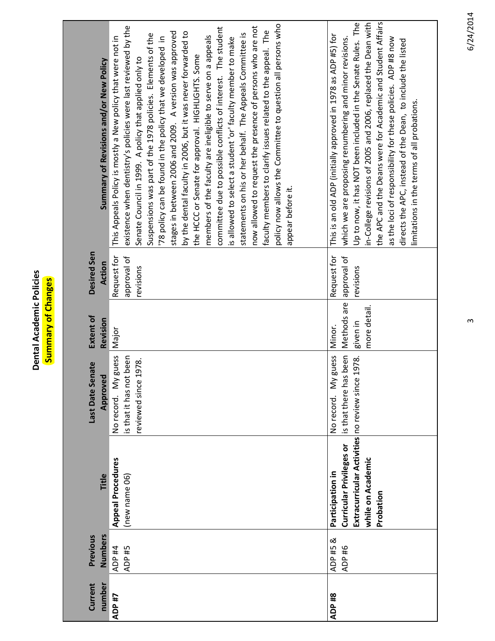**Dental Academic Policies Dental Academic Policies** Summary of Changes **Summary of Changes**

| Current<br>number | Numbers<br>Previous | Title                                                                                                                        | Last Date Senate<br>Approved                                             | Extent of<br>Revision                             | Desired Sen<br>Action                   | Summary of Revisions and/or New Policy                                                                                                                                                                                                                                                                                                                                                                                                                                                                                                                                                                                                                                                                                                                                                                                                                                                                                                                                       |
|-------------------|---------------------|------------------------------------------------------------------------------------------------------------------------------|--------------------------------------------------------------------------|---------------------------------------------------|-----------------------------------------|------------------------------------------------------------------------------------------------------------------------------------------------------------------------------------------------------------------------------------------------------------------------------------------------------------------------------------------------------------------------------------------------------------------------------------------------------------------------------------------------------------------------------------------------------------------------------------------------------------------------------------------------------------------------------------------------------------------------------------------------------------------------------------------------------------------------------------------------------------------------------------------------------------------------------------------------------------------------------|
| ADP #7            | ADP #4<br>ADP #5    | <b>Appeal Procedures</b><br>(new name 06)                                                                                    | guess<br>s that it has not been<br>reviewed since 1978.<br>No record. My | Major                                             | Request for<br>approval of<br>revisions | policy now allows the Committee to question all persons who<br>now allowed to request the presence of persons who are not<br>existence when dentistry's policies were last reviewed by the<br>committee due to possible conflicts of interest. The student<br>faculty members to clarify issues related to the appeal. The<br>by the dental faculty in 2006, but it was never forwarded to<br>stages in between 2006 and 2009. A version was approved<br>statements on his or her behalf. The Appeals Committee is<br>Suspensions was part of the 1978 policies. Elements of the<br>members of the faculty are ineligible to serve on a appeals<br>This Appeals Policy is mostly a New policy that were not in<br>78 policy can be found in the policy that we developed in<br>is allowed to select a student 'or' faculty member to make<br>the HCCC or Senate for approval. HIGHLIGHTS. Some<br>Senate Council in 1999. A policy that applied only to<br>appear before it. |
| ADP <sub>#8</sub> | ADP #5 &<br>ADP #6  | Extracurricular Activities no review since<br>Curricular Privileges or<br>while on Academic<br>Participation in<br>Probation | is that there has been<br>guess<br>1978.<br>No record. My                | Methods are<br>more detail.<br>given in<br>Minor. | Request for<br>approval of<br>revisions | the APC and the Deans were for Academic and Student Affairs<br>Up to now, it has NOT been included in the Senate Rules. The<br>in-College revisions of 2005 and 2006, replaced the Dean with<br>This is an old ADP (initially approved in 1978 as ADP #5) for<br>which we are proposing renumbering and minor revisions.<br>as the loci of responsibility for these policies. ADP #8 now<br>directs the APC, instead of the Dean, to include the listed<br>limitations in the terms of all probations.                                                                                                                                                                                                                                                                                                                                                                                                                                                                       |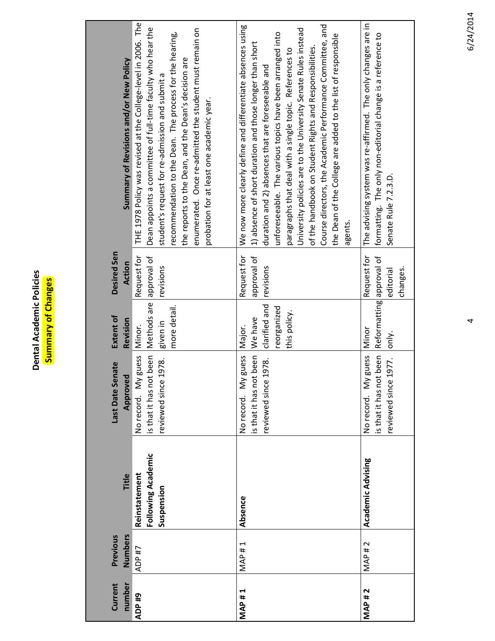| cies   |   |
|--------|---|
|        | ă |
|        |   |
| O      | g |
| c      | t |
|        |   |
|        |   |
| Ē      |   |
|        | ٠ |
| ldel   |   |
| ق<br>پ | t |
|        |   |
|        | с |
|        |   |
|        |   |
| Ë      |   |
|        |   |
|        |   |

| Current<br>number | Previous<br>Numbers | Title                                             | Last Date Senate<br>Approved                                                 | Extent of<br>Revision                                             | Desired Sen<br>Action                   | Summary of Revisions and/or New Policy                                                                                                                                                                                                                                                                                                                                                                                                                                                                                                                                    |
|-------------------|---------------------|---------------------------------------------------|------------------------------------------------------------------------------|-------------------------------------------------------------------|-----------------------------------------|---------------------------------------------------------------------------------------------------------------------------------------------------------------------------------------------------------------------------------------------------------------------------------------------------------------------------------------------------------------------------------------------------------------------------------------------------------------------------------------------------------------------------------------------------------------------------|
| ADP <sub>#9</sub> | ADP #7              | Following Academic<br>Reinstatement<br>Suspension | guess<br>s that it has not been<br>1978.<br>No record. My<br>reviewed since  | Methods are<br>more detail.<br>given in<br>Minor.                 | Request for<br>approval of<br>revisions | THE 1978 Policy was revised at the College-level in 2006. The<br>Dean appoints a committee of full-time faculty who hear the<br>enumerated. Once re-admitted the student must remain on<br>recommendation to the Dean. The process for the hearing,<br>the reports to the Dean, and the Dean's decision are<br>student's request for re-admission and submit a<br>probation for at least one academic year.                                                                                                                                                               |
| <b>MAP#1</b>      | <b>MAP#1</b>        | Absence                                           | is that it has not been<br>guess<br>1978.<br>No record. My<br>reviewed since | clarified and<br>reorganized<br>this policy.<br>We have<br>Major. | approval of<br>Request for<br>revisions | Course directors, the Academic Performance Committee, and<br>We now more clearly define and differentiate absences using<br>University policies are to the University Senate Rules instead<br>unforeseeable. The various topics have been arranged into<br>the Dean of the College are added to the list of responsible<br>1) absence of short duration and those longer than short<br>of the handbook on Student Rights and Responsibilities.<br>paragraphs that deal with a single topic. References to<br>duration and 2) absences that are foreseeable and<br>agents. |
| <b>MAP#2</b>      | <b>MAP#2</b>        | Academic Advising                                 | guess<br>is that it has not been<br>reviewed since 1977.<br>No record. My    | Reformatting approval of<br>Minor<br>only.                        | Request for<br>changes.<br>editorial    | The advising system was re-affirmed. The only changes are in<br>formatting. The only non-editorial change is a reference to<br>Senate Rule 7.2.3.D.                                                                                                                                                                                                                                                                                                                                                                                                                       |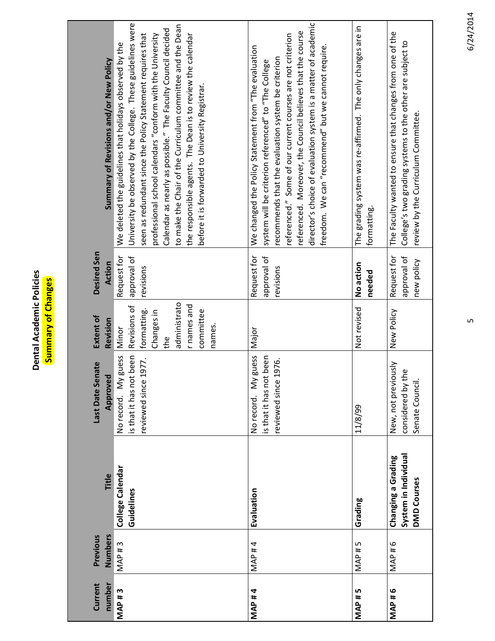**Dental Academic Policies Dental Academic Policies** Summary of Changes **Summary of Changes**

| Current<br>number | Numbers<br>Previous | Title                                                            | hate<br>Last Date Ser<br>Approved                                                | Extent of<br>Revision                                                                                           | Desired Sen<br>Action                    | Summary of Revisions and/or New Policy                                                                                                                                                                                                                                                                                                                                                                                                                                                             |
|-------------------|---------------------|------------------------------------------------------------------|----------------------------------------------------------------------------------|-----------------------------------------------------------------------------------------------------------------|------------------------------------------|----------------------------------------------------------------------------------------------------------------------------------------------------------------------------------------------------------------------------------------------------------------------------------------------------------------------------------------------------------------------------------------------------------------------------------------------------------------------------------------------------|
| <b>MAP#3</b>      | MAP <sub>#3</sub>   | College Calendar<br>Guidelines                                   | been<br>No record. My guess<br>.977.<br>is that it has not<br>reviewed since 1   | administrato<br>r names and<br>Revisions of<br>formatting.<br>committee<br>Changes in<br>names.<br>Minor<br>the | approval of<br>Request for<br>revisions  | University be observed by the College. These guidelines were<br>to make the Chair of the Curriculum committee and the Dean<br>Calendar as nearly as possible." The Faculty Council decided<br>seen as redundant since the Policy Statement requires that<br>the responsible agents. The Dean is to review the calendar<br>professional school calendars "conform with the University<br>We deleted the guidelines that holidays observed by the<br>before it is forwarded to University Registrar. |
| <b>MAP#4</b>      | MAP #4              | Evaluation                                                       | guess<br>been<br>.976<br>is that it has not<br>reviewed since 1<br>No record. My | Major                                                                                                           | approval of<br>Request for<br>revisions  | director's choice of evaluation system is a matter of academic<br>referenced. Moreover, the Council believes that the course<br>referenced." Some of our current courses are not criterion<br>freedom. We can "recommend" but we cannot require.<br>We changed the Policy Statement from "The evaluation<br>recommends that the evaluation system be criterion<br>system will be criterion referenced" to "The College                                                                             |
| <b>MAP#5</b>      | MAP#5               | Grading                                                          | 11/8/99                                                                          | Not revised                                                                                                     | No action<br>needed                      | The grading system was re-affirmed. The only changes are in<br>formatting.                                                                                                                                                                                                                                                                                                                                                                                                                         |
| <b>MAP#6</b>      | MAP#6               | System in Individual<br>Changing a Grading<br><b>DMD Courses</b> | New, not previously<br>ف<br>considered by th<br>Senate Council.                  | New Policy                                                                                                      | Request for<br>approval of<br>new policy | The Faculty wanted to ensure that changes from one of the<br>College's two grading systems to the other are subject to<br>review by the Curriculum Committee.                                                                                                                                                                                                                                                                                                                                      |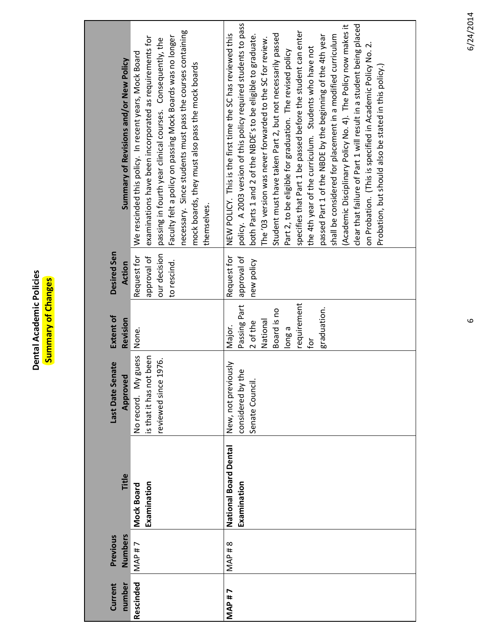Dental Academic Policies<br>Summary of Changes **Dental Academic Policies Summary of Changes**

| Current<br>number | Numbers<br>Previous | Title                                       | Last Date Senate<br>Approved                                                      | <b>Extent of</b><br>Revision                                                                               | Desired Sen<br>Action                                     | Summary of Revisions and/or New Policy                                                                                                                                                                                                                                                                                                                                                                                                                                                                                                                                                                                                                                                                                                                                                                                                                                                                    |
|-------------------|---------------------|---------------------------------------------|-----------------------------------------------------------------------------------|------------------------------------------------------------------------------------------------------------|-----------------------------------------------------------|-----------------------------------------------------------------------------------------------------------------------------------------------------------------------------------------------------------------------------------------------------------------------------------------------------------------------------------------------------------------------------------------------------------------------------------------------------------------------------------------------------------------------------------------------------------------------------------------------------------------------------------------------------------------------------------------------------------------------------------------------------------------------------------------------------------------------------------------------------------------------------------------------------------|
| Rescinded         | <b>MAP#7</b>        | Examination<br>Mock Board                   | guess<br>t been<br>1976.<br>No record. My<br>is that it has not<br>reviewed since | None.                                                                                                      | our decision<br>approval of<br>Request for<br>to rescind. | necessary. Since students must pass the courses containing<br>Faculty felt a policy on passing Mock Boards was no longer<br>examinations have been incorporated as requirements for<br>passing in fourth year clinical courses. Consequently, the<br>We rescinded this policy. In recent years, Mock Board<br>mock boards, they must also pass the mock boards<br>themselves.                                                                                                                                                                                                                                                                                                                                                                                                                                                                                                                             |
| <b>MAP#7</b>      | <b>MAP#8</b>        | <b>National Board Dental</b><br>Examination | New, not previously<br>considered by the<br>Senate Council.                       | requirement<br>Passing Part<br>graduation.<br>Board is no<br>National<br>2 of the<br>Major.<br>long a<br>ğ | Request for<br>approval of<br>new policy                  | policy. A 2003 version of this policy required students to pass<br>clear that failure of Part 1 will result in a student being placed<br>(Academic Disciplinary Policy No. 4). The Policy now makes it<br>specifies that Part 1 be passed before the student can enter<br>NEW POLICY. This is the first time the SC has reviewed this<br>Student must have taken Part 2, but not necessarily passed<br>shall be considered for placement in a modified curriculum<br>both Parts 1 and 2 of the NBDE's to be eligible to graduate.<br>passed Part 1 of the NBDE by the beginning of the 4th year<br>The '03 version was never forwarded to the SC for review.<br>on Probation. (This is specified in Academic Policy No. 2.<br>the 4th year of the curriculum. Students who have not<br>Part 2, to be eligible for graduation. The revised policy<br>Probation, but should also be stated in this policy.) |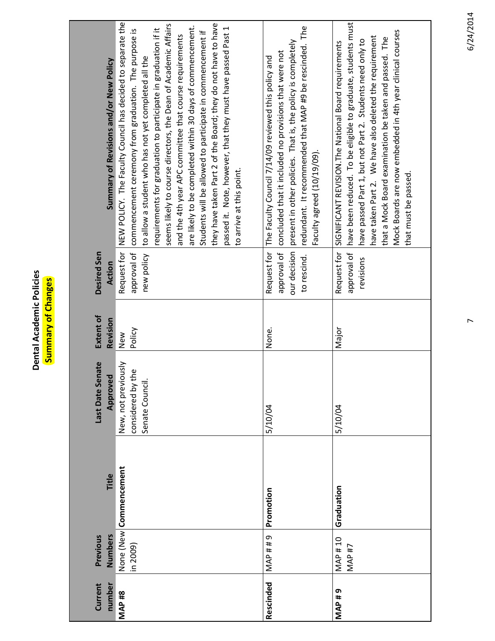| olicies<br>ic<br>۹è | ă<br>Ъf<br>с<br>Ο<br>۰<br>с |
|---------------------|-----------------------------|
| <b>Aca</b><br>hi:   |                             |

| Current<br>number | Previous<br>Numbers                | Title                  | Last Date Senate<br>Approved                                    | <b>Extent of</b><br>Revision | Desired Sen<br><b>Action</b>            | Summary of Revisions and/or New Policy                                                                                                                                                                                                                                                                                                                                                                                                                                                                                                                                                                                                                                                     |
|-------------------|------------------------------------|------------------------|-----------------------------------------------------------------|------------------------------|-----------------------------------------|--------------------------------------------------------------------------------------------------------------------------------------------------------------------------------------------------------------------------------------------------------------------------------------------------------------------------------------------------------------------------------------------------------------------------------------------------------------------------------------------------------------------------------------------------------------------------------------------------------------------------------------------------------------------------------------------|
| <b>MAP#8</b>      | in 2009)                           | None (New Commencement | New, not previously<br>ഉ<br>considered by th<br>Senate Council. | Policy<br>New                | approval of                             | Request for NEW POLICY. The Faculty Council has decided to separate the<br>seems likely to course directors, the Dean of Academic Affairs<br>they have taken Part 2 of the Board; they do not have to have<br>are likely to be completed within 30 days of commencement.<br>passed it. Note, however, that they must have passed Past 1<br>requirements for graduation to participate in graduation if it<br>commencement ceremony from graduation. The purpose is<br>Students will be allowed to participate in commencement if<br>and the 4th year APC committee that course requirements<br>new policy to allow a student who has not yet completed all the<br>to arrive at this point. |
| Rescinded         | MAP##9                             | Promotion              | 5/10/04                                                         | None.                        | approval of<br>to rescind.              | redundant. It recommended that MAP #9 be rescinded. The<br>our decision  present in other policies. That is, the policy is completely<br>concluded that it included no provisions that were not<br>Request for The Faculty Council 7/14/09 reviewed this policy and<br>Faculty agreed (10/19/09).                                                                                                                                                                                                                                                                                                                                                                                          |
| <b>MAP#9</b>      | <b>MAP#10</b><br>MAP <sub>#7</sub> | Graduation             | 5/10/04                                                         | Major                        | approval of<br>Request for<br>revisions | have been reduced. To be eligible to graduate, students must<br>Mock Boards are now embedded in 4th year clinical courses<br>have taken Part 2. We have also deleted the requirement<br>that a Mock Board examination be taken and passed. The<br>have passed Part 1, but not Part 2. Students need only to<br>SIGNIFICANT REVISION. The National Board requirements<br>that must be passed.                                                                                                                                                                                                                                                                                               |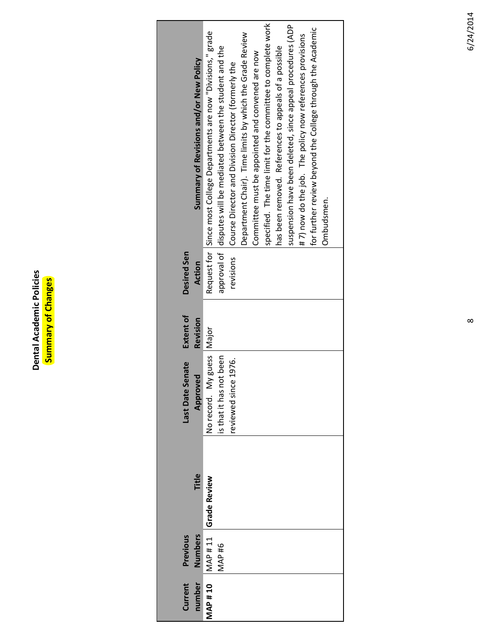Dental Academic Policies<br>Summary of Changes **Dental Academic Policies Summary of Changes**

| Current<br>number | Previous<br><b>Numbers</b> | Title               | Last Date Senate<br>Approve                                                 | Extent of<br>Revision | <b>Desired Sen</b><br>Action | Summary of Revisions and/or New Policy                                                                                                                                                                                                                                                                                        |
|-------------------|----------------------------|---------------------|-----------------------------------------------------------------------------|-----------------------|------------------------------|-------------------------------------------------------------------------------------------------------------------------------------------------------------------------------------------------------------------------------------------------------------------------------------------------------------------------------|
| <b>MAP#10</b>     | MAP <sub>#6</sub>          | MAP#11 Grade Review | Vorecord. My guess Major<br>is that it has not been<br>reviewed since 1976. |                       |                              | Request for Since most College Departments are now "Divisions," grade<br>Department Chair). Time limits by which the Grade Review<br>approval of   disputes will be mediated between the student and the<br>Committee must be appointed and convened are now<br>revisions Course Director and Division Director (formerly the |
|                   |                            |                     |                                                                             |                       |                              | specified. The time limit for the committee to complete work<br>suspension have been deleted, since appeal procedures (ADP<br>for further review beyond the College through the Academic<br>#7) now do the job. The policy now references provisions<br>has been removed. References to appeals of a possible<br>Ombudsmen.   |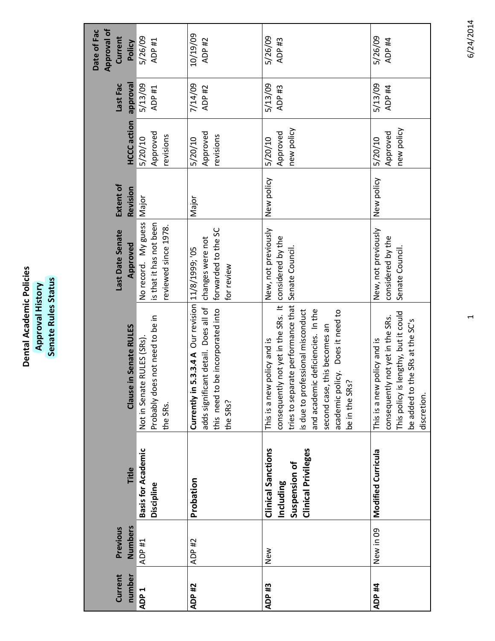| Academic Policies<br>Dental | History<br>Approval | Status<br>Rules<br>Senate |
|-----------------------------|---------------------|---------------------------|
|                             |                     |                           |

| Current<br>number | Numbers<br>Previous | Title                                                                                 | Clause in Senate RULES                                                                                                                                                                                                                                                        | Last Date Senate<br>Approved                                           | Extent of<br>Revision | <b>HCCC</b> action                | <b>I<sub>BVO</sub></b> udde<br>Last Fac | <b>Approval of</b><br>Date of Fac<br>Current<br>Policy |
|-------------------|---------------------|---------------------------------------------------------------------------------------|-------------------------------------------------------------------------------------------------------------------------------------------------------------------------------------------------------------------------------------------------------------------------------|------------------------------------------------------------------------|-----------------------|-----------------------------------|-----------------------------------------|--------------------------------------------------------|
| ADP <sub>1</sub>  | ADP #1              | <b>Basis for Academic</b><br>Discipline                                               | Probably does not need to be in<br>Not in Senate RULES (SRs)<br>the SRs.                                                                                                                                                                                                      | No record. My guess<br>is that it has not been<br>reviewed since 1978. | Major                 | Approved<br>revisions<br>5/20/10  | 5/13/09<br>ADP #1                       | 5/26/09<br>ADP #1                                      |
| ADP #2            | ADP #2              | Probation                                                                             | 5.3.3.4 A Our revision 11/8/1999; '05<br>int detail. Does all of<br>be incorporated into<br>adds significa<br>this need to<br>Currently in<br>the SRs?                                                                                                                        | forwarded to the SC<br>changes were not<br>for review                  | Major                 | Approved<br>revisions<br>5/20/10  | 7/14/09<br>ADP #2                       | 10/19/09<br>ADP #2                                     |
| ADP <sub>#3</sub> | New                 | <b>Clinical Sanctions</b><br><b>Clinical Privileges</b><br>Suspension of<br>Including | consequently not yet in the SRs. It<br>tries to separate performance that<br>and academic deficiencies. In the<br>s due to professional misconduct<br>academic policy. Does it need to<br>this becomes an<br>policy and is<br>be in the SRs?<br>This is a new<br>second case, | New, not previously<br>considered by the<br>Senate Council.            | New policy            | new policy<br>Approved<br>5/20/10 | 5/13/09<br>ADP <sub>#3</sub>            | 5/26/09<br>ADP <sub>#3</sub>                           |
| ADP #4            | New in 09           | Modified Curricula                                                                    | lengthy, but it could<br>consequently not yet in the SRs.<br>the SRs at the SC's<br>policy and is<br>This is a new<br>This policy is<br>be added to<br>discretion.                                                                                                            | New, not previously<br>considered by the<br>Senate Council.            | New policy            | new policy<br>Approved<br>5/20/10 | 5/13/09<br>ADP #4                       | 5/26/09<br>ADP #4                                      |

6/24/2014 1 6/24/2014

 $\overline{\phantom{0}}$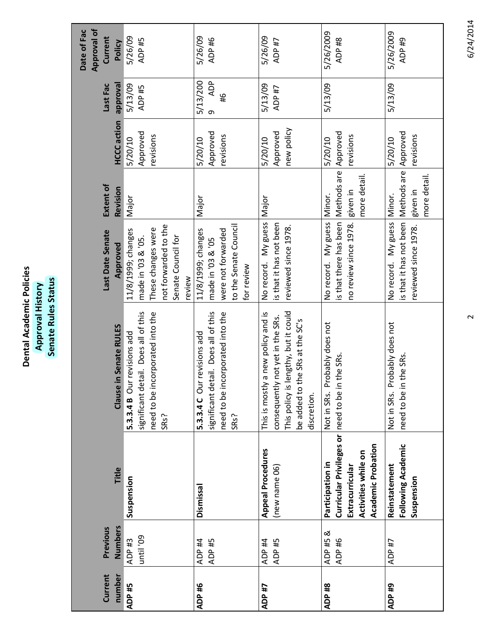| Current           | Previous                       |                                                                                                                                   |                                                                                                                                                                          | Last Date Senate                                                                                                       | Extent of                                                  |                                   | Last Fac                                     | <b>Approval of</b><br>Date of Fac<br>Current |
|-------------------|--------------------------------|-----------------------------------------------------------------------------------------------------------------------------------|--------------------------------------------------------------------------------------------------------------------------------------------------------------------------|------------------------------------------------------------------------------------------------------------------------|------------------------------------------------------------|-----------------------------------|----------------------------------------------|----------------------------------------------|
| number            | Numbers                        | Title                                                                                                                             | in Senate RULES<br>Clause                                                                                                                                                | Approved                                                                                                               | Revision                                                   | <b>HCCC</b> action                | <b>Ievoudde</b>                              | Policy                                       |
| ADP <sub>#5</sub> | until '09<br>ADP <sub>#3</sub> | Suspension                                                                                                                        | significant detail. Does all of this<br>need to be incorporated into the<br>5.3.3.4 B Our revisions add<br>SRs?                                                          | not forwarded to the<br>These changes were<br>11/8/1999; changes<br>Senate Council for<br>made in '03 & '05.<br>review | Major                                                      | Approved<br>revisions<br>5/20/10  | 5/13/09<br>ADP #5                            | 5/26/09<br>ADP <sub>#5</sub>                 |
| ADP <sub>#6</sub> | ADP <sub>#4</sub><br>ADP #5    | Dismissal                                                                                                                         | significant detail. Does all of this<br>need to be incorporated into the<br>5.3.3.4 C Our revisions add<br>SR <sub>S</sub> ?                                             | to the Senate Council<br>11/8/1999; changes<br>were not forwarded<br>made in '03 & '05<br>for review                   | Major                                                      | Approved<br>revisions<br>5/20/10  | <b>ADP</b><br>5/13/200<br>$\frac{9}{4}$<br>თ | 5/26/09<br>ADP #6                            |
| ADP #7            | ADP #4<br>ADP #5               | <b>Appeal Procedures</b><br>(new name 06)                                                                                         | This policy is lengthy, but it could<br>a new policy and is<br>consequently not yet in the SRs.<br>the SRs at the SC's<br>This is mostly<br>be added to t<br>discretion. | No record. My guess<br>is that it has not been<br>reviewed since 1978.                                                 | Major                                                      | new policy<br>Approved<br>5/20/10 | 5/13/09<br>ADP #7                            | 5/26/09<br>ADP #7                            |
| ADP #8            | ADP#5&<br>ADP #6               | Curricular Privileges or need to be in<br><b>Academic Probation</b><br>Activities while on<br>Participation in<br>Extracurricular | Probably does not<br>the SRs.<br>Not in SRs.                                                                                                                             | is that there has been Methods are Approved<br>no review since 1978.<br>No record. My guess                            | more detail.<br>given in<br>Minor.                         | revisions<br>5/20/10              | 5/13/09                                      | 5/26/2009<br>ADP #8                          |
| ADP#9             | ADP #7                         | Following Academic<br>Reinstatement<br>Suspension                                                                                 | Probably does not<br>the SRs.<br>need to be in<br>Not in SRs.                                                                                                            | is that it has not been<br>No record. My guess<br>reviewed since 1978.                                                 | Methods are Approved<br>more detail.<br>given in<br>Minor. | revisions<br>5/20/10              | 5/13/09                                      | 5/26/2009<br>ADP <sub>#9</sub>               |

6/24/2014 2 6/24/2014

 $\sim$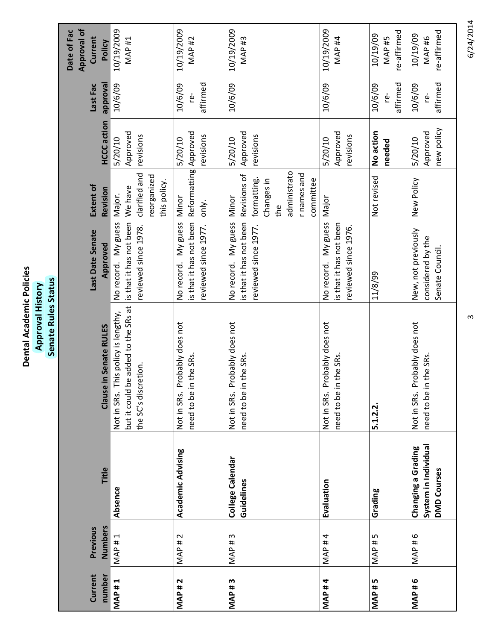| ו<br>E | stor    |
|--------|---------|
| Acadeı | ž       |
| ۸t     | evouddy |
|        |         |

| story<br>Ξ<br>prova<br><b>QA</b> | st<br><b>r</b><br>ಕ<br>စိ<br>⋾<br>œ<br>ate<br>⊆ |
|----------------------------------|-------------------------------------------------|
|                                  |                                                 |
|                                  |                                                 |
|                                  | ق                                               |
|                                  |                                                 |

|              |                   |                                                                  |                                                                                                    |                                                                        |                                                                                                       |                                   |                              | <b>Approval of</b><br>Date of Fac            |
|--------------|-------------------|------------------------------------------------------------------|----------------------------------------------------------------------------------------------------|------------------------------------------------------------------------|-------------------------------------------------------------------------------------------------------|-----------------------------------|------------------------------|----------------------------------------------|
|              |                   |                                                                  |                                                                                                    |                                                                        |                                                                                                       |                                   |                              |                                              |
| Current      | Previous          |                                                                  |                                                                                                    | Last Date Senate                                                       | Extent of                                                                                             |                                   | Last Fac                     | Current                                      |
| number       | <b>Numbers</b>    | Title                                                            | in Senate RULES<br>Clause                                                                          | Approved                                                               | Revision                                                                                              | <b>HCCC</b> action                | <b>I<sub>BVO</sub></b> rowal | Policy                                       |
| <b>MAP#1</b> | <b>MAP#1</b>      | Absence                                                          | but it could be added to the SRs at<br>Not in SRs. This policy is lengthy,<br>the SC's discretion. | No record. My guess<br>is that it has not been<br>reviewed since 1978. | clarified and<br>reorganized<br>this policy.<br>We have<br>Major.                                     | Approved<br>revisions<br>5/20/10  | 10/6/09                      | 10/19/2009<br>MAP <sub>#1</sub>              |
| <b>MAP#2</b> | <b>MAP#2</b>      | <b>Academic Advising</b>                                         | Probably does not<br>the SRs.<br>need to be in<br>Not in SRs.                                      | is that it has not been<br>No record. My guess<br>reviewed since 1977. | Reformatting Approved<br>Minor<br>lonly.                                                              | revisions<br>5/20/10              | affirmed<br>10/6/09<br>ģ     | 10/19/2009<br><b>MAP #2</b>                  |
| <b>MAP#3</b> | <b>MAP#3</b>      | College Calendar<br>Guidelines                                   | robably does not<br>the SRs.<br>p,<br>need to be in<br>Not in SRs.                                 | No record. My guess<br>is that it has not been<br>reviewed since 1977. | administrato<br>r names and<br>Revisions of<br>formatting.<br>Changes in<br>committee<br>Minor<br>the | Approved<br>revisions<br>5/20/10  | 10/6/09                      | 10/19/2009<br><b>MAP#3</b>                   |
| <b>MAP#4</b> | MAP #4            | Evaluation                                                       | Probably does not<br>the SRs.<br>need to be in<br>Not in SRs.                                      | No record. My guess<br>is that it has not been<br>reviewed since 1976. | Major                                                                                                 | Approved<br>revisions<br>5/20/10  | 10/6/09                      | 10/19/2009<br>MAP <sub>#4</sub>              |
| <b>MAP#5</b> | MAP <sup>#5</sup> | Grading                                                          | 5.1.2.2                                                                                            | 11/8/99                                                                | Not revised                                                                                           | No action<br>needed               | affirmed<br>10/6/09<br>ۈ     | re-affirmed<br>10/19/09<br>MAP <sub>#5</sub> |
| <b>MAP#6</b> | MAP #6            | System in Individual<br>Changing a Grading<br><b>DMD Courses</b> | Probably does not<br>the SRs.<br>need to be in<br>Not in SRs.                                      | New, not previously<br>considered by the<br>Senate Council.            | New Policy                                                                                            | new policy<br>Approved<br>5/20/10 | affirmed<br>10/6/09<br>رف    | re-affirmed<br>10/19/09<br>MAP <sub>#6</sub> |

6/24/2014 3 6/24/2014

 $\infty$